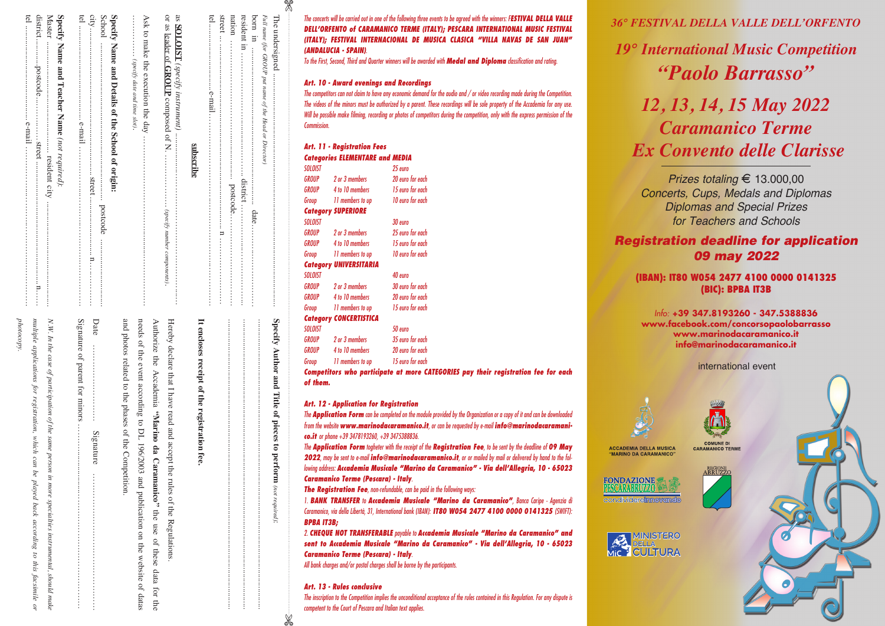| subscribe                                                                              | It encloses receipt of the registration fee.                                        |
|----------------------------------------------------------------------------------------|-------------------------------------------------------------------------------------|
| or as leader of $\overline{\text{GROUI}}$ composed of N.  (specify number components). | Hereby declare that I have read and accept the<br>rules of the Regulations.         |
|                                                                                        | Authorize the Accademia "Marino da Caramanico" the use of the                       |
| $\ldots$ $\ldots$ (specify date and time slot).<br>Ask to make the execution the day   | needs of the event according to DL 196/2003 and publication on the w                |
|                                                                                        | and photos related to the phases of the Competition.                                |
| Specify Name and Details of the School of origin:                                      |                                                                                     |
|                                                                                        | Date<br>Signature                                                                   |
|                                                                                        |                                                                                     |
| Specify Name and Teacher Name (not required):                                          |                                                                                     |
|                                                                                        | N.W. In the case of participation of the same person in more specialties instrument |
|                                                                                        | multiple applications for registration, which can be<br>played back according to    |
|                                                                                        | photocopy.                                                                          |

| Signature of parent for minor $\ldots$ . $\ldots$ . $\ldots$ . $\ldots$ . $\ldots$ . $\ldots$ . $\ldots$ . $\ldots$ . $\ldots$<br>Date<br>and photos related to the phases of the Competition.<br>needs of the event according to DL 196/2003 and publication on the website of datas<br>Authorize the Accademia "Marino da Caramanico" the use of these data for the<br><br>Signature |
|----------------------------------------------------------------------------------------------------------------------------------------------------------------------------------------------------------------------------------------------------------------------------------------------------------------------------------------------------------------------------------------|
|                                                                                                                                                                                                                                                                                                                                                                                        |
| N.W. In the case of participation of the same person in more specialities instrumental, should make                                                                                                                                                                                                                                                                                    |
| multiple applications for registration, which can be played back according to this facsimile or                                                                                                                                                                                                                                                                                        |

| It encloses receipt of the registration fee. | druscrib |
|----------------------------------------------|----------|
|                                              |          |
|                                              |          |
|                                              |          |
|                                              |          |
|                                              | porr     |

*The concerts will be carried out in one of the following three events to be agreed with the winners: FESTIVAL DELLA VALLE DELL'ORFENTO of CARAMANICO TERME (ITALY); PESCARA INTERNATIONAL MUSIC FESTIVAL (ITALY); FESTIVAL INTERNACIONAL DE MUSICA CLASICA "VILLA NAVAS DE SAN JUAN" (ANDALUCIA - SPAIN).*

*To the First, Second, Third and Quarter winners will be awarded with Medal and Diploma classification and rating.*

# *Art. 10 - Award evenings and Recordings*

*Full name (for GROUP put name of the Head or Director)*

· Director

une (for GROUP put name of the Head or

X

The undersigned

The undersigned ...............................................................................................................

**Specify Author and Title of pieces to perform**

Specify Author and Title of pieces to

*(not required)*perform (not required):

..........................................................................................................................................

*The competitors can not claim to have any economic demand for the audio and / or video recording made during the Competition. The videos of the minors must be authorized by a parent. These recordings will be sole property of the Accademia for any use. Will be possible make filming, recording or photos of competitors during the competition, only with the express permission of the Commission.*

|                | Art. 11 - Registration Fees<br><b>Categories ELEMENTARE and MEDIA</b> |                                                             |
|----------------|-----------------------------------------------------------------------|-------------------------------------------------------------|
| <b>SOLOIST</b> |                                                                       | 25 euro                                                     |
|                | GROUP 2 or 3 members                                                  | 20 euro for each                                            |
|                | <b>GROUP</b> 4 to 10 members                                          | 15 euro for each                                            |
|                | Group 11 members to up                                                | 10 euro for each                                            |
|                | <b>Category SUPERIORE</b>                                             |                                                             |
| SOLOIST        |                                                                       | 30 euro                                                     |
| GROUP          | 2 or 3 members                                                        | 25 euro for each                                            |
| GROUP          | 4 to 10 members                                                       | 15 euro for each                                            |
|                | Group 11 members to up 10 euro for each                               |                                                             |
|                | <b>Category UNIVERSITARIA</b>                                         |                                                             |
| <b>SOLOIST</b> |                                                                       | 40 euro                                                     |
|                | <b>GROUP</b> 2 or 3 members                                           | 30 euro for each                                            |
|                | <b>GROUP</b> 4 to 10 members                                          | 20 euro for each                                            |
|                | Group 11 members to up                                                | 15 euro for each                                            |
|                | <b>Category CONCERTISTICA</b>                                         |                                                             |
| <b>SOLOIST</b> |                                                                       | 50 euro                                                     |
| GROUP          | 2 or 3 members                                                        | 35 euro for each                                            |
| GROUP          | 4 to 10 members                                                       | 20 euro for each                                            |
| Group          | 11 members to up 15 euro for each                                     |                                                             |
|                |                                                                       | Competitors who participate at more CATEGORIES pay their re |

*Competitors who participate at more CATEGORIES pay their registration fee for each of them.*

### *Art. 12 - Application for Registration*

*The Application Form can be completed on the module provided by the Organization or a copy of it and can be downloaded from the website www.marinodacaramanico.it, or can be requested by e-mail info@marinodacaramanico.it or phone +39 3478193260, +39 3475388836.*

*The Application Form togheter with the receipt of the Registration Fee, to be sent by the deadline of 09 May 2022, may be sent to e-mail info@marinodacaramanico.it, or or mailed by mail or delivered by hand to the following address: Accademia Musicale "Marino da Caramanico" - Via dell'Allegria, 10 - 65023 Caramanico Terme (Pescara) - Italy.*

*The Registration Fee, non-refundable, can be paid in the following ways:*

*1. BANK TRANSFER to Accademia Musicale "Marino da Caramanico", Banca Caripe - Agenzia di Caramanico, via della Libertà, 31, International bank (IBAN): IT80 W054 2477 4100 0000 0141325 (SWIFT): BPBA IT3B;*

*2. CHEQUE NOT TRANSFERABLE payable to Accademia Musicale "Marino da Caramanico" and sent to Accademia Musicale "Marino da Caramanico" - Via dell'Allegria, 10 - 65023 Caramanico Terme (Pescara) - Italy.*

*All bank charges and/or postal charges shall be borne by the participants.*

### *Art. 13 - Rules conclusive*

*The inscription to the Competition implies the unconditional acceptance of the rules contained in this Regulation. For any dispute is competent to the Court of Pescara and Italian text applies.*

# *36° FESTIVAL DELLA VALLE DELL'ORFENTO*

*19° International Music Competition "Paolo Barrasso"*

# *12, 13, 14, 15 May 2022 Caramanico Terme Ex Convento delle Clarisse*

*Prizes totaling* E 13.000,00 *Concerts, Cups, Medals and Diplomas Diplomas and Special Prizes for Teachers and Schools*

# *Registration deadline for application 09 may 2022*

## **(IBAN): IT80 W054 2477 4100 0000 0141325 (BIC): BPBA IT3B**

*Info:* **+39 347.8193260 - 347.5388836 www.facebook.com/concorsopaolobarrasso www.marinodacaramanico.it info@marinodacaramanico.it**

international event





**ACCADEMIA DELLA MUSICA** "MARINO DA CARAMANICO"